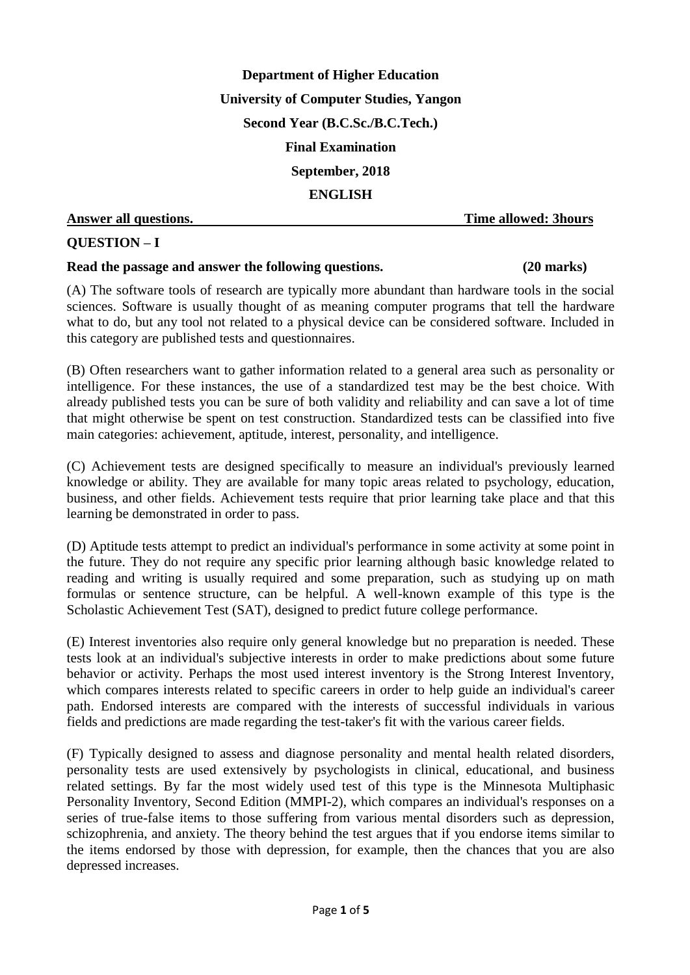**Department of Higher Education University of Computer Studies, Yangon Second Year (B.C.Sc./B.C.Tech.) Final Examination September, 2018 ENGLISH Answer all questions. Time allowed: 3hours**

# **QUESTION – I**

#### **Read the passage and answer the following questions. (20 marks)**

(A) The software tools of research are typically more abundant than hardware tools in the social sciences. Software is usually thought of as meaning computer programs that tell the hardware what to do, but any tool not related to a physical device can be considered software. Included in this category are published tests and questionnaires.

(B) Often researchers want to gather information related to a general area such as personality or intelligence. For these instances, the use of a standardized test may be the best choice. With already published tests you can be sure of both validity and reliability and can save a lot of time that might otherwise be spent on test construction. Standardized tests can be classified into five main categories: achievement, aptitude, interest, personality, and intelligence.

(C) Achievement tests are designed specifically to measure an individual's previously learned knowledge or ability. They are available for many topic areas related to psychology, education, business, and other fields. Achievement tests require that prior learning take place and that this learning be demonstrated in order to pass.

(D) Aptitude tests attempt to predict an individual's performance in some activity at some point in the future. They do not require any specific prior learning although basic knowledge related to reading and writing is usually required and some preparation, such as studying up on math formulas or sentence structure, can be helpful. A well-known example of this type is the Scholastic Achievement Test (SAT), designed to predict future college performance.

(E) Interest inventories also require only general knowledge but no preparation is needed. These tests look at an individual's subjective interests in order to make predictions about some future behavior or activity. Perhaps the most used interest inventory is the Strong Interest Inventory, which compares interests related to specific careers in order to help guide an individual's career path. Endorsed interests are compared with the interests of successful individuals in various fields and predictions are made regarding the test-taker's fit with the various career fields.

(F) Typically designed to assess and diagnose personality and mental health related disorders, personality tests are used extensively by psychologists in clinical, educational, and business related settings. By far the most widely used test of this type is the Minnesota Multiphasic Personality Inventory, Second Edition (MMPI-2), which compares an individual's responses on a series of true-false items to those suffering from various mental disorders such as depression, schizophrenia, and anxiety. The theory behind the test argues that if you endorse items similar to the items endorsed by those with depression, for example, then the chances that you are also depressed increases.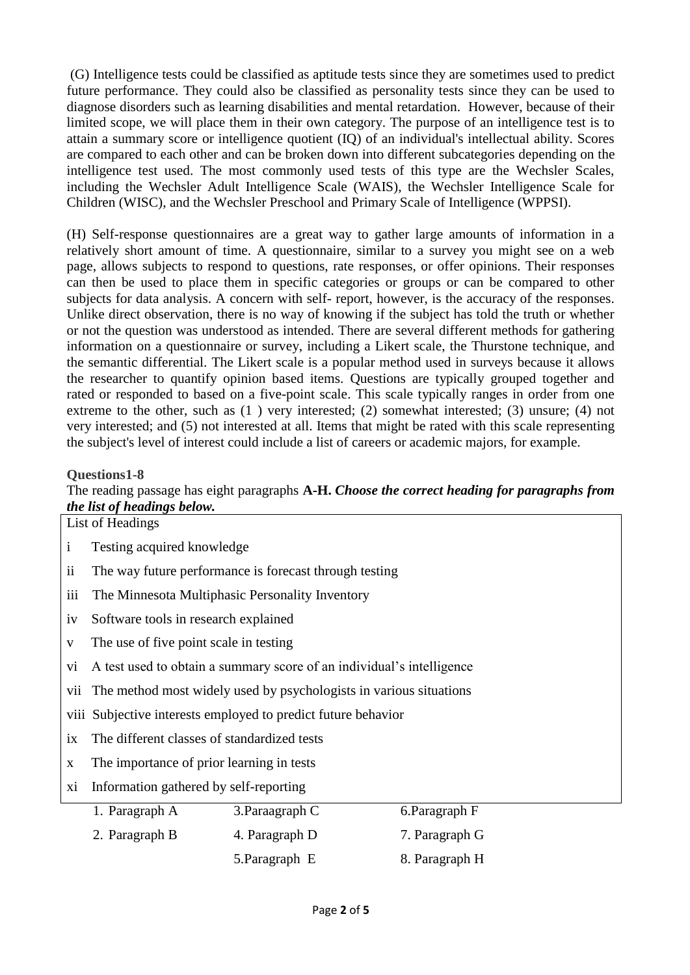(G) Intelligence tests could be classified as aptitude tests since they are sometimes used to predict future performance. They could also be classified as personality tests since they can be used to diagnose disorders such as learning disabilities and mental retardation. However, because of their limited scope, we will place them in their own category. The purpose of an intelligence test is to attain a summary score or intelligence quotient (IQ) of an individual's intellectual ability. Scores are compared to each other and can be broken down into different subcategories depending on the intelligence test used. The most commonly used tests of this type are the Wechsler Scales, including the Wechsler Adult Intelligence Scale (WAIS), the Wechsler Intelligence Scale for Children (WISC), and the Wechsler Preschool and Primary Scale of Intelligence (WPPSI).

(H) Self-response questionnaires are a great way to gather large amounts of information in a relatively short amount of time. A questionnaire, similar to a survey you might see on a web page, allows subjects to respond to questions, rate responses, or offer opinions. Their responses can then be used to place them in specific categories or groups or can be compared to other subjects for data analysis. A concern with self- report, however, is the accuracy of the responses. Unlike direct observation, there is no way of knowing if the subject has told the truth or whether or not the question was understood as intended. There are several different methods for gathering information on a questionnaire or survey, including a Likert scale, the Thurstone technique, and the semantic differential. The Likert scale is a popular method used in surveys because it allows the researcher to quantify opinion based items. Questions are typically grouped together and rated or responded to based on a five-point scale. This scale typically ranges in order from one extreme to the other, such as (1 ) very interested; (2) somewhat interested; (3) unsure; (4) not very interested; and (5) not interested at all. Items that might be rated with this scale representing the subject's level of interest could include a list of careers or academic majors, for example.

### **Questions1-8**

The reading passage has eight paragraphs **A-H.** *Choose the correct heading for paragraphs from the list of headings below.*

|               | List of Headings                                                      |                 |                |  |  |  |
|---------------|-----------------------------------------------------------------------|-----------------|----------------|--|--|--|
| $\mathbf{1}$  | Testing acquired knowledge                                            |                 |                |  |  |  |
| $\mathbf{ii}$ | The way future performance is forecast through testing                |                 |                |  |  |  |
| iii           | The Minnesota Multiphasic Personality Inventory                       |                 |                |  |  |  |
| 1V            | Software tools in research explained                                  |                 |                |  |  |  |
| V             | The use of five point scale in testing                                |                 |                |  |  |  |
| V1            | A test used to obtain a summary score of an individual's intelligence |                 |                |  |  |  |
| V11           | The method most widely used by psychologists in various situations    |                 |                |  |  |  |
|               | viii. Subjective interests employed to predict future behavior        |                 |                |  |  |  |
| 1X            | The different classes of standardized tests                           |                 |                |  |  |  |
| $\mathbf X$   | The importance of prior learning in tests                             |                 |                |  |  |  |
| xi            | Information gathered by self-reporting                                |                 |                |  |  |  |
|               | 1. Paragraph A                                                        | 3. Paraagraph C | 6. Paragraph F |  |  |  |
|               | 2. Paragraph B                                                        | 4. Paragraph D  | 7. Paragraph G |  |  |  |

5. Paragraph E 8. Paragraph H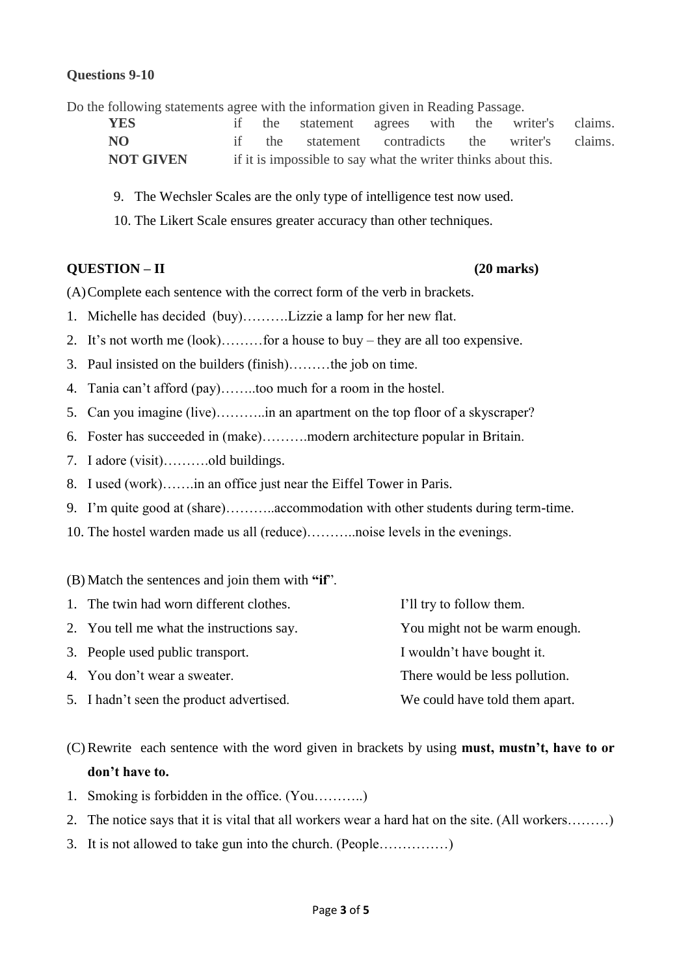### **Questions 9-10**

Do the following statements agree with the information given in Reading Passage.

**YES** if the statement agrees with the writer's claims. **NO** if the statement contradicts the writer's claims. **NOT GIVEN** if it is impossible to say what the writer thinks about this.

- 9. The Wechsler Scales are the only type of intelligence test now used.
- 10. The Likert Scale ensures greater accuracy than other techniques.

### **QUESTION – II (20 marks)**

(A)Complete each sentence with the correct form of the verb in brackets.

- 1. Michelle has decided (buy)……….Lizzie a lamp for her new flat.
- 2. It's not worth me (look)………for a house to buy they are all too expensive.
- 3. Paul insisted on the builders (finish)………the job on time.
- 4. Tania can't afford (pay)……..too much for a room in the hostel.
- 5. Can you imagine (live)………..in an apartment on the top floor of a skyscraper?
- 6. Foster has succeeded in (make)……….modern architecture popular in Britain.
- 7. I adore (visit)……….old buildings.
- 8. I used (work)…….in an office just near the Eiffel Tower in Paris.
- 9. I'm quite good at (share)………..accommodation with other students during term-time.
- 10. The hostel warden made us all (reduce)………..noise levels in the evenings.

### (B) Match the sentences and join them with **"if**".

| 1. The twin had worn different clothes.   | I'll try to follow them.       |
|-------------------------------------------|--------------------------------|
| 2. You tell me what the instructions say. | You might not be warm enough.  |
| 3. People used public transport.          | I wouldn't have bought it.     |
| 4. You don't wear a sweater.              | There would be less pollution. |
| 5. I hadn't seen the product advertised.  | We could have told them apart. |
|                                           |                                |

(C) Rewrite each sentence with the word given in brackets by using **must, mustn't, have to or don't have to.** 

- 1. Smoking is forbidden in the office. (You………..)
- 2. The notice says that it is vital that all workers wear a hard hat on the site. (All workers………)
- 3. It is not allowed to take gun into the church. (People……………)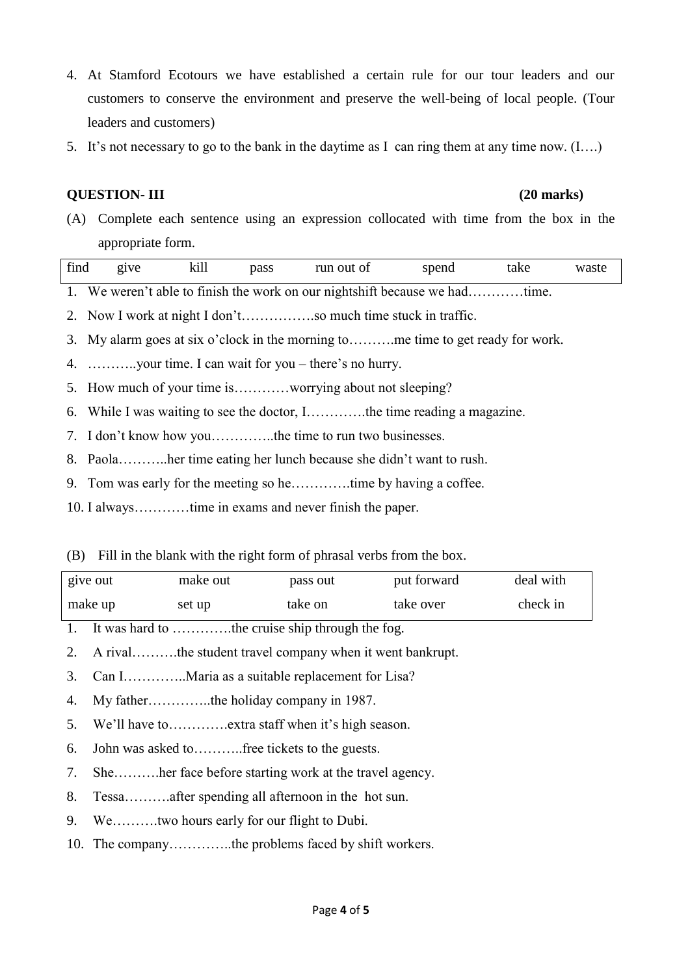- 4. At Stamford Ecotours we have established a certain rule for our tour leaders and our customers to conserve the environment and preserve the well-being of local people. (Tour leaders and customers)
- 5. It's not necessary to go to the bank in the daytime as I can ring them at any time now.  $(I...)$

### **QUESTION- III (20 marks)**

(A) Complete each sentence using an expression collocated with time from the box in the appropriate form.

| find | g <sub>1</sub> ve | kill | pass | run out of                                                               | spend | take | waste |
|------|-------------------|------|------|--------------------------------------------------------------------------|-------|------|-------|
|      |                   |      |      | We weren't able to finish the work on our nightshift because we hadtime. |       |      |       |

2. Now I work at night I don't…………….so much time stuck in traffic.

3. My alarm goes at six o'clock in the morning to……….me time to get ready for work.

4. ………..your time. I can wait for you – there's no hurry.

5. How much of your time is…………worrying about not sleeping?

6. While I was waiting to see the doctor, I………….the time reading a magazine.

7. I don't know how you…………..the time to run two businesses.

8. Paola………..her time eating her lunch because she didn't want to rush.

9. Tom was early for the meeting so he………….time by having a coffee.

10. I always…………time in exams and never finish the paper.

(B) Fill in the blank with the right form of phrasal verbs from the box.

| give out | make out | pass out | put forward | deal with |
|----------|----------|----------|-------------|-----------|
| make up  | set up   | take on  | take over   | check in  |

1. It was hard to ………….the cruise ship through the fog.

2. A rival……….the student travel company when it went bankrupt.

3. Can I…………..Maria as a suitable replacement for Lisa?

4. My father…………..the holiday company in 1987.

5. We'll have to………….extra staff when it's high season.

6. John was asked to………..free tickets to the guests.

7. She……….her face before starting work at the travel agency.

8. Tessa……….after spending all afternoon in the hot sun.

9. We……….two hours early for our flight to Dubi.

10. The company…………..the problems faced by shift workers.